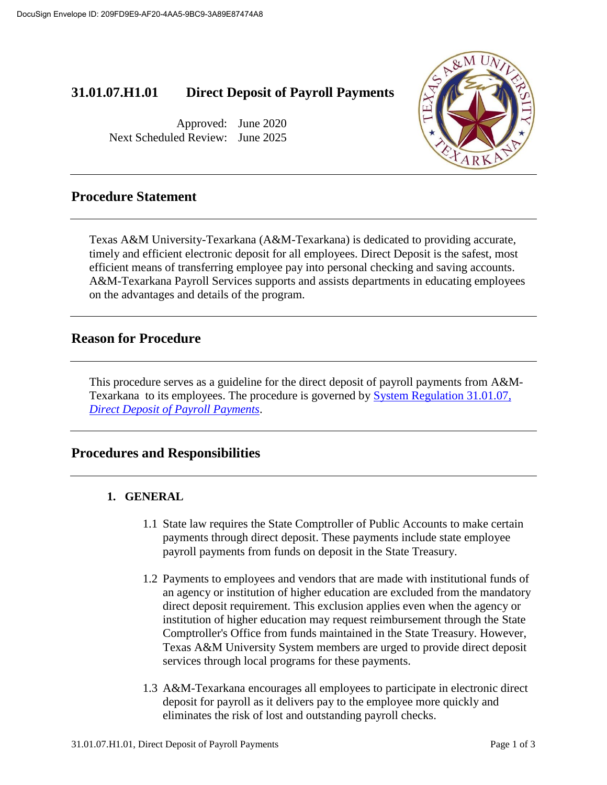# **31.01.07.H1.01 Direct Deposit of Payroll Payments**

Approved: June 2020 Next Scheduled Review: June 2025



## **Procedure Statement**

Texas A&M University-Texarkana (A&M-Texarkana) is dedicated to providing accurate, timely and efficient electronic deposit for all employees. Direct Deposit is the safest, most efficient means of transferring employee pay into personal checking and saving accounts. A&M-Texarkana Payroll Services supports and assists departments in educating employees on the advantages and details of the program.

## **Reason for Procedure**

This procedure serves as a guideline for the direct deposit of payroll payments from A&M-Texarkana to its employees. The procedure is governed by [System Regulation 31.01.07](http://policies.tamus.edu/31-01-07.pdf)*, [Direct Deposit of Payroll Payments](http://policies.tamus.edu/31-01-07.pdf)*.

## **Procedures and Responsibilities**

#### **1. GENERAL**

- 1.1 State law requires the State Comptroller of Public Accounts to make certain payments through direct deposit. These payments include state employee payroll payments from funds on deposit in the State Treasury.
- 1.2 Payments to employees and vendors that are made with institutional funds of an agency or institution of higher education are excluded from the mandatory direct deposit requirement. This exclusion applies even when the agency or institution of higher education may request reimbursement through the State Comptroller's Office from funds maintained in the State Treasury. However, Texas A&M University System members are urged to provide direct deposit services through local programs for these payments.
- 1.3 A&M-Texarkana encourages all employees to participate in electronic direct deposit for payroll as it delivers pay to the employee more quickly and eliminates the risk of lost and outstanding payroll checks.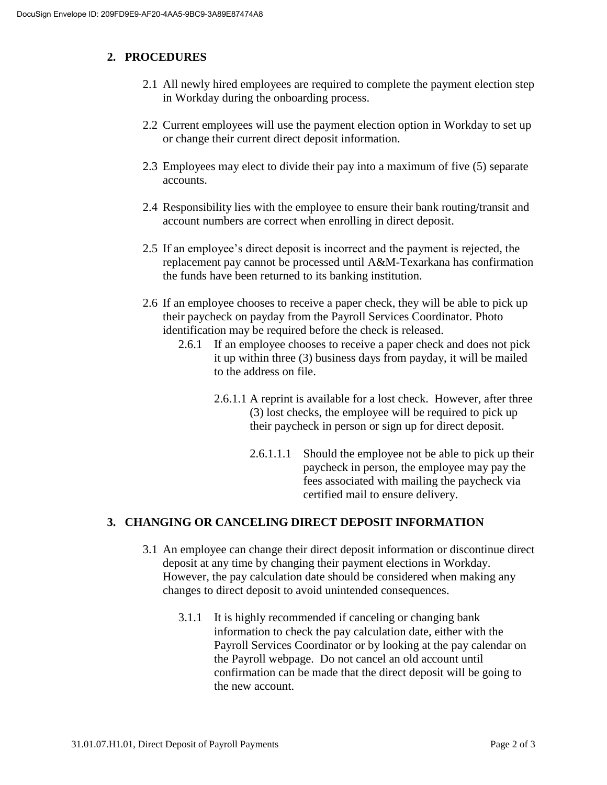#### **2. PROCEDURES**

- 2.1 All newly hired employees are required to complete the payment election step in Workday during the onboarding process.
- 2.2 Current employees will use the payment election option in Workday to set up or change their current direct deposit information.
- 2.3 Employees may elect to divide their pay into a maximum of five (5) separate accounts.
- 2.4 Responsibility lies with the employee to ensure their bank routing/transit and account numbers are correct when enrolling in direct deposit.
- 2.5 If an employee's direct deposit is incorrect and the payment is rejected, the replacement pay cannot be processed until A&M-Texarkana has confirmation the funds have been returned to its banking institution.
- 2.6 If an employee chooses to receive a paper check, they will be able to pick up their paycheck on payday from the Payroll Services Coordinator. Photo identification may be required before the check is released.
	- 2.6.1 If an employee chooses to receive a paper check and does not pick it up within three (3) business days from payday, it will be mailed to the address on file.
		- 2.6.1.1 A reprint is available for a lost check. However, after three (3) lost checks, the employee will be required to pick up their paycheck in person or sign up for direct deposit.
			- 2.6.1.1.1 Should the employee not be able to pick up their paycheck in person, the employee may pay the fees associated with mailing the paycheck via certified mail to ensure delivery.

#### **3. CHANGING OR CANCELING DIRECT DEPOSIT INFORMATION**

- 3.1 An employee can change their direct deposit information or discontinue direct deposit at any time by changing their payment elections in Workday. However, the pay calculation date should be considered when making any changes to direct deposit to avoid unintended consequences.
	- 3.1.1 It is highly recommended if canceling or changing bank information to check the pay calculation date, either with the Payroll Services Coordinator or by looking at the pay calendar on the Payroll webpage. Do not cancel an old account until confirmation can be made that the direct deposit will be going to the new account.